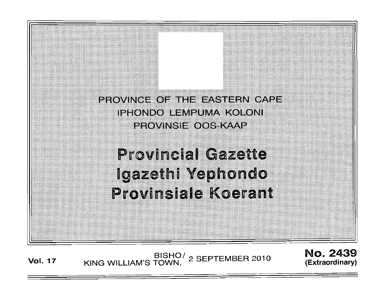

**Vol. 17** BISHO/ KING WILLIAM'S TOWN, 2 SEPTEMBER 2010

No. 2439 **(Extraord inary)**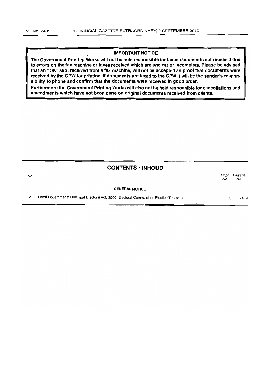## IMPORTANT NOTICE

The Government Printing Works will not be held responsible for faxed documents not received due to errors on the fax machine or faxes received which are unclear or incomplete. Please be advised that an "OK" Slip, received from a fax machine, will not be accepted as proof that documents were received by the GPW for printing. If documents are faxed to the GPW it will be the sender's responsibility to phone and confirm that the documents were received in good order.

Furthermore the Government Printing Works will also not be held responsible for cancellations and amendments which have not been done on original documents received from clients.

# CONTENTS· INHOUD

| No. |                       | Page<br>No. | Gazette<br>No. |
|-----|-----------------------|-------------|----------------|
|     | <b>GENERAL NOTICE</b> |             |                |
| 289 |                       |             | 2439           |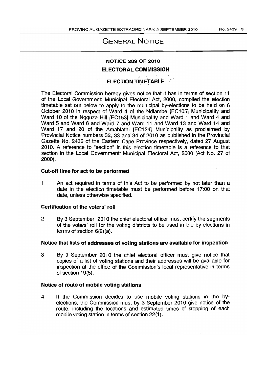# GENERAL NOTICE

# NOTICE 289 OF 2010

# ELECTORAL COMMISSION

# **ELECTION TIMETABLE**

The Electoral Commission hereby gives notice that it has in terms of section 11 of the Local Government: Municipal Electoral Act, 2000, compiled the election timetable set out below to apply to the municipal by-elections to be held on 6 October 2010 in respect of Ward 4 of the Ndlambe [EC105] Municipality and Ward 10 of the Ngquza Hill [EC153] Municipality and Ward 1 and Ward 4 and Ward 5 and Ward 6 and Ward 7 and Ward 11 and Ward 13 and Ward 14 and Ward 17 and 20 of the Amahlathi [EC124] Municipality as proclaimed by Provincial Notice numbers 32, 33 and 34 of 2010 as published in the Provincial Gazette No. 2436 of the Eastern Cape Province respectively, dated 27 August 2010. A reference to "section" in this election timetable is a reference to that section in the Local Government: Municipal Electoral Act, 2000 (Act No. 27 of 2000).

#### Cut-off time for act to be performed

1 An act required in terms of this Act to be performed by not later than a date in the election timetable must be performed before 17:00 on that date, unless otherwise specified.

#### Certification of the voters' roll

2 By 3 September 2010 the chief electoral officer must certify the segments of the voters' roll for the voting districts to be used in the by-elections in terms of section 6(2)(a).

# Notice that lists of addresses of voting stations are available for inspection

3 By 3 September 2010 the chief electoral officer must give notice that copies of a list of voting stations and their addresses will be available for inspection at the office of the Commission's local representative in terms of section 19(5).

## Notice of route of mobile voting stations

4 If the Commission decides to use mobile voting stations in the byelections, the Commission must by 3 September 2010 give notice of the route, including the locations and estimated times of stopping of each mobile voting station in terms of section 22(1).